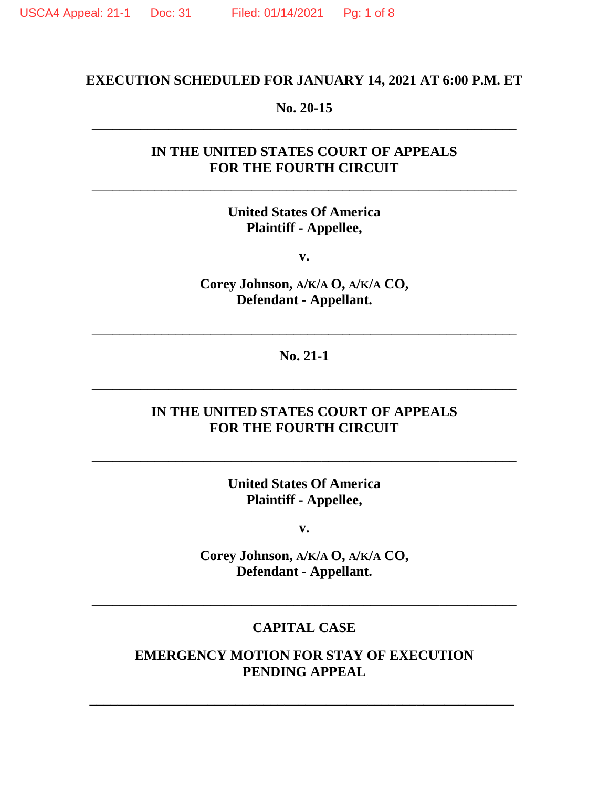## **EXECUTION SCHEDULED FOR JANUARY 14, 2021 AT 6:00 P.M. ET**

### **No. 20-15** \_\_\_\_\_\_\_\_\_\_\_\_\_\_\_\_\_\_\_\_\_\_\_\_\_\_\_\_\_\_\_\_\_\_\_\_\_\_\_\_\_\_\_\_\_\_\_\_\_\_\_\_\_\_\_\_\_\_\_\_\_

# **IN THE UNITED STATES COURT OF APPEALS FOR THE FOURTH CIRCUIT**

\_\_\_\_\_\_\_\_\_\_\_\_\_\_\_\_\_\_\_\_\_\_\_\_\_\_\_\_\_\_\_\_\_\_\_\_\_\_\_\_\_\_\_\_\_\_\_\_\_\_\_\_\_\_\_\_\_\_\_\_\_

# **United States Of America Plaintiff - Appellee,**

**v.**

**Corey Johnson, A/K/A O, A/K/A CO, Defendant - Appellant.**

**No. 21-1**

\_\_\_\_\_\_\_\_\_\_\_\_\_\_\_\_\_\_\_\_\_\_\_\_\_\_\_\_\_\_\_\_\_\_\_\_\_\_\_\_\_\_\_\_\_\_\_\_\_\_\_\_\_\_\_\_\_\_\_\_\_

\_\_\_\_\_\_\_\_\_\_\_\_\_\_\_\_\_\_\_\_\_\_\_\_\_\_\_\_\_\_\_\_\_\_\_\_\_\_\_\_\_\_\_\_\_\_\_\_\_\_\_\_\_\_\_\_\_\_\_\_\_

## **IN THE UNITED STATES COURT OF APPEALS FOR THE FOURTH CIRCUIT**

**United States Of America Plaintiff - Appellee,**

\_\_\_\_\_\_\_\_\_\_\_\_\_\_\_\_\_\_\_\_\_\_\_\_\_\_\_\_\_\_\_\_\_\_\_\_\_\_\_\_\_\_\_\_\_\_\_\_\_\_\_\_\_\_\_\_\_\_\_\_\_

**v.**

**Corey Johnson, A/K/A O, A/K/A CO, Defendant - Appellant.**

#### **CAPITAL CASE**

\_\_\_\_\_\_\_\_\_\_\_\_\_\_\_\_\_\_\_\_\_\_\_\_\_\_\_\_\_\_\_\_\_\_\_\_\_\_\_\_\_\_\_\_\_\_\_\_\_\_\_\_\_\_\_\_\_\_\_\_\_

**EMERGENCY MOTION FOR STAY OF EXECUTION PENDING APPEAL**

**\_\_\_\_\_\_\_\_\_\_\_\_\_\_\_\_\_\_\_\_\_\_\_\_\_\_\_\_\_\_\_\_\_\_\_\_\_\_\_\_\_\_\_\_\_\_\_\_\_\_\_\_\_\_\_\_\_\_\_\_\_**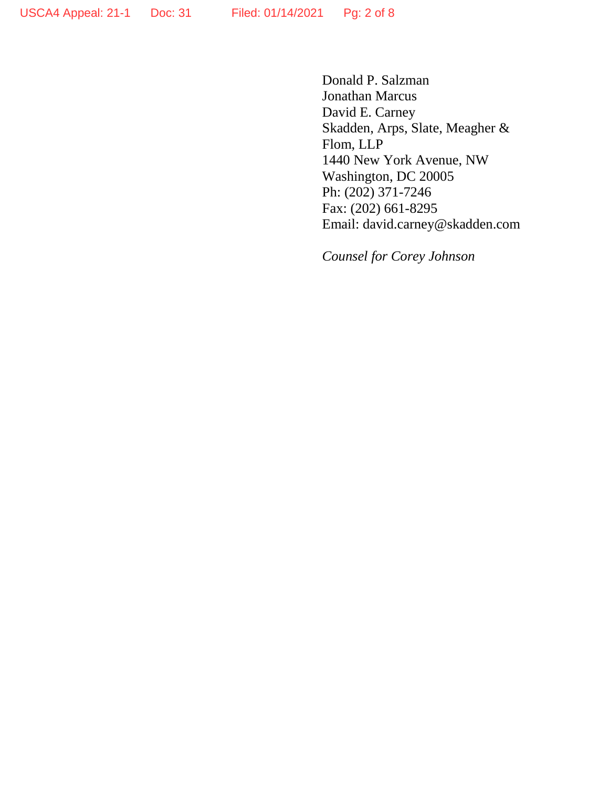Donald P. Salzman Jonathan Marcus David E. Carney Skadden, Arps, Slate, Meagher & Flom, LLP 1440 New York Avenue, NW Washington, DC 20005 Ph: (202) 371-7246 Fax: (202) 661-8295 Email: david.carney@skadden.com

*Counsel for Corey Johnson*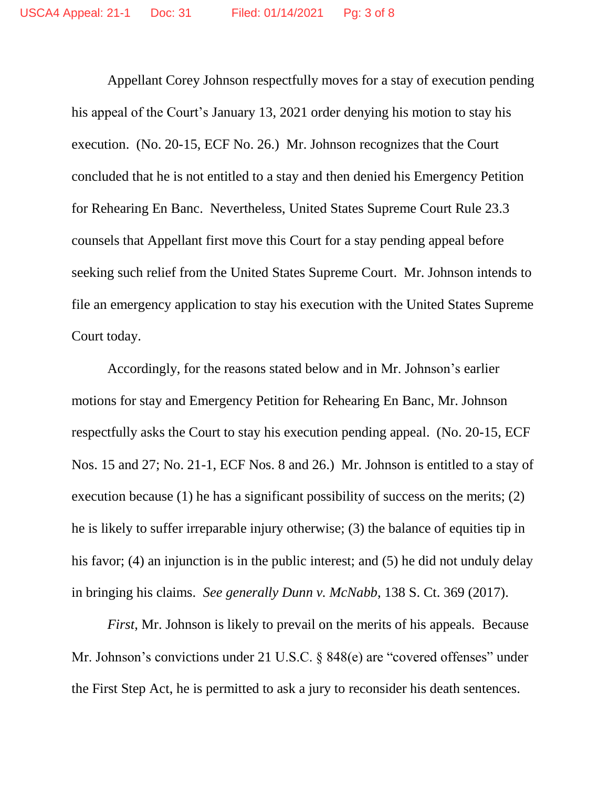Appellant Corey Johnson respectfully moves for a stay of execution pending his appeal of the Court's January 13, 2021 order denying his motion to stay his execution. (No. 20-15, ECF No. 26.) Mr. Johnson recognizes that the Court concluded that he is not entitled to a stay and then denied his Emergency Petition for Rehearing En Banc. Nevertheless, United States Supreme Court Rule 23.3 counsels that Appellant first move this Court for a stay pending appeal before seeking such relief from the United States Supreme Court. Mr. Johnson intends to file an emergency application to stay his execution with the United States Supreme Court today.

Accordingly, for the reasons stated below and in Mr. Johnson's earlier motions for stay and Emergency Petition for Rehearing En Banc, Mr. Johnson respectfully asks the Court to stay his execution pending appeal. (No. 20-15, ECF Nos. 15 and 27; No. 21-1, ECF Nos. 8 and 26.) Mr. Johnson is entitled to a stay of execution because (1) he has a significant possibility of success on the merits; (2) he is likely to suffer irreparable injury otherwise; (3) the balance of equities tip in his favor; (4) an injunction is in the public interest; and (5) he did not unduly delay in bringing his claims. *See generally Dunn v. McNabb*, 138 S. Ct. 369 (2017).

*First*, Mr. Johnson is likely to prevail on the merits of his appeals. Because Mr. Johnson's convictions under 21 U.S.C. § 848(e) are "covered offenses" under the First Step Act, he is permitted to ask a jury to reconsider his death sentences.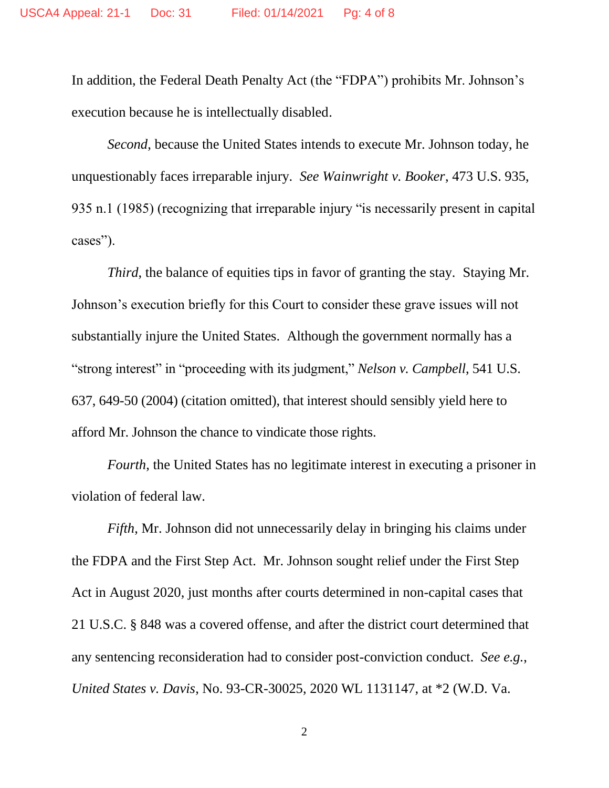In addition, the Federal Death Penalty Act (the "FDPA") prohibits Mr. Johnson's execution because he is intellectually disabled.

*Second*, because the United States intends to execute Mr. Johnson today, he unquestionably faces irreparable injury. *See Wainwright v. Booker*, 473 U.S. 935, 935 n.1 (1985) (recognizing that irreparable injury "is necessarily present in capital cases").

*Third*, the balance of equities tips in favor of granting the stay. Staying Mr. Johnson's execution briefly for this Court to consider these grave issues will not substantially injure the United States. Although the government normally has a "strong interest" in "proceeding with its judgment," *Nelson v. Campbell*, 541 U.S. 637, 649-50 (2004) (citation omitted), that interest should sensibly yield here to afford Mr. Johnson the chance to vindicate those rights.

*Fourth*, the United States has no legitimate interest in executing a prisoner in violation of federal law.

*Fifth*, Mr. Johnson did not unnecessarily delay in bringing his claims under the FDPA and the First Step Act. Mr. Johnson sought relief under the First Step Act in August 2020, just months after courts determined in non-capital cases that 21 U.S.C. § 848 was a covered offense, and after the district court determined that any sentencing reconsideration had to consider post-conviction conduct. *See e.g.*, *United States v. Davis*, No. 93-CR-30025, 2020 WL 1131147, at \*2 (W.D. Va.

2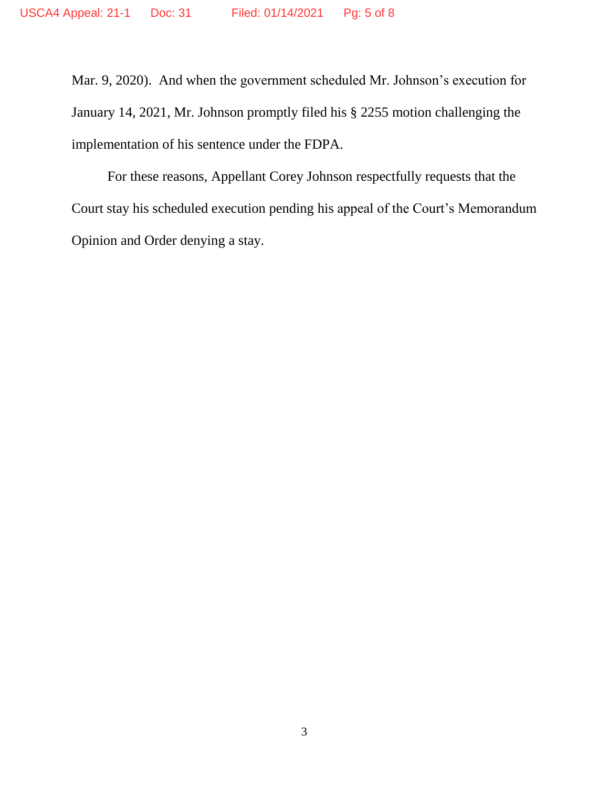Mar. 9, 2020). And when the government scheduled Mr. Johnson's execution for January 14, 2021, Mr. Johnson promptly filed his § 2255 motion challenging the implementation of his sentence under the FDPA.

For these reasons, Appellant Corey Johnson respectfully requests that the Court stay his scheduled execution pending his appeal of the Court's Memorandum Opinion and Order denying a stay.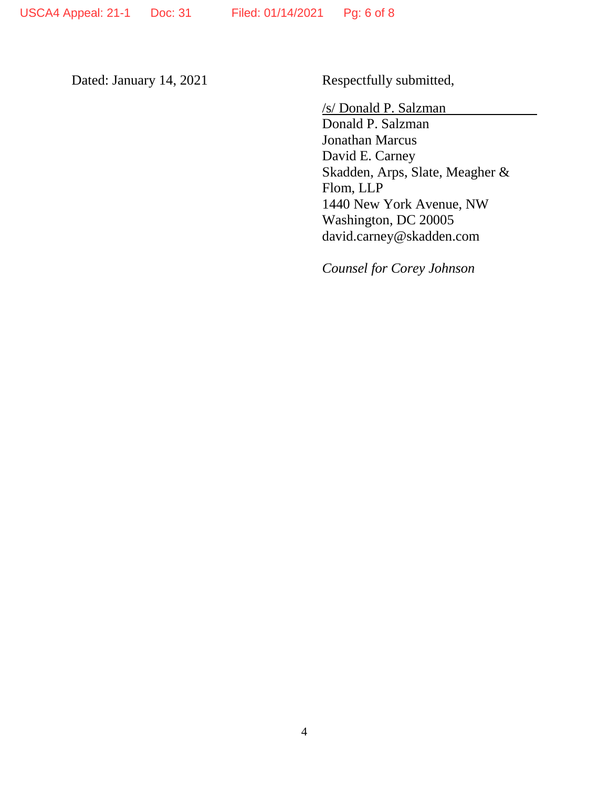Dated: January 14, 2021 Respectfully submitted,

/s/ Donald P. Salzman

Donald P. Salzman Jonathan Marcus David E. Carney Skadden, Arps, Slate, Meagher & Flom, LLP 1440 New York Avenue, NW Washington, DC 20005 david.carney@skadden.com

*Counsel for Corey Johnson*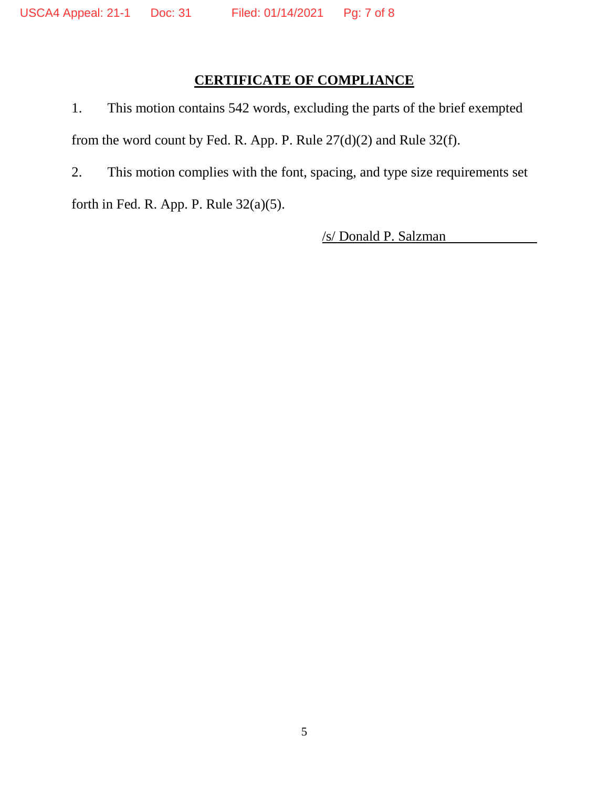# **CERTIFICATE OF COMPLIANCE**

1. This motion contains 542 words, excluding the parts of the brief exempted from the word count by Fed. R. App. P. Rule 27(d)(2) and Rule 32(f).

2. This motion complies with the font, spacing, and type size requirements set

forth in Fed. R. App. P. Rule 32(a)(5).

/s/ Donald P. Salzman